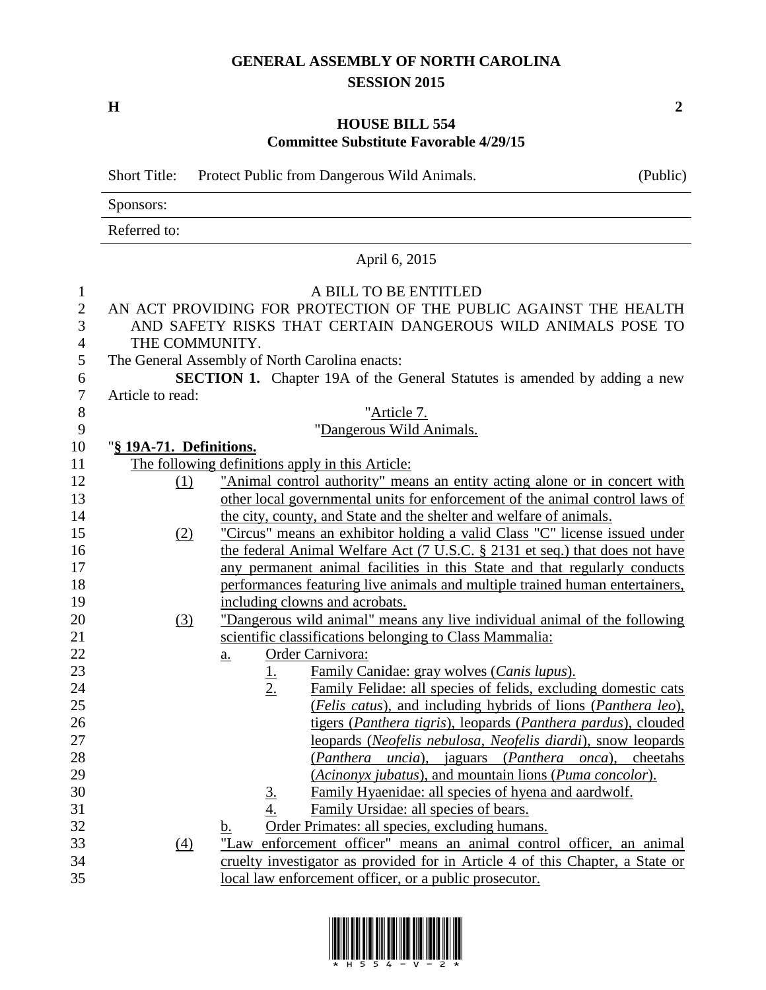## **GENERAL ASSEMBLY OF NORTH CAROLINA SESSION 2015**

**H 2**

## **HOUSE BILL 554 Committee Substitute Favorable 4/29/15**

|                  | <b>Short Title:</b>     | Protect Public from Dangerous Wild Animals.                                                                                             | (Public) |
|------------------|-------------------------|-----------------------------------------------------------------------------------------------------------------------------------------|----------|
|                  | Sponsors:               |                                                                                                                                         |          |
|                  | Referred to:            |                                                                                                                                         |          |
|                  |                         | April 6, 2015                                                                                                                           |          |
| $\mathbf{1}$     |                         | A BILL TO BE ENTITLED                                                                                                                   |          |
| $\mathbf{2}$     |                         | AN ACT PROVIDING FOR PROTECTION OF THE PUBLIC AGAINST THE HEALTH                                                                        |          |
| 3                |                         | AND SAFETY RISKS THAT CERTAIN DANGEROUS WILD ANIMALS POSE TO                                                                            |          |
| 4                | THE COMMUNITY.          |                                                                                                                                         |          |
| 5                |                         | The General Assembly of North Carolina enacts:                                                                                          |          |
| 6                |                         | <b>SECTION 1.</b> Chapter 19A of the General Statutes is amended by adding a new                                                        |          |
| $\boldsymbol{7}$ | Article to read:        |                                                                                                                                         |          |
| 8                |                         | "Article 7.                                                                                                                             |          |
| 9                |                         | "Dangerous Wild Animals.                                                                                                                |          |
| 10               | "§ 19A-71. Definitions. |                                                                                                                                         |          |
| 11               |                         | The following definitions apply in this Article:                                                                                        |          |
| 12               | (1)                     | "Animal control authority" means an entity acting alone or in concert with                                                              |          |
| 13               |                         | other local governmental units for enforcement of the animal control laws of                                                            |          |
| 14               |                         | the city, county, and State and the shelter and welfare of animals.                                                                     |          |
| 15               | (2)                     | "Circus" means an exhibitor holding a valid Class "C" license issued under                                                              |          |
| 16               |                         | the federal Animal Welfare Act (7 U.S.C. § 2131 et seq.) that does not have                                                             |          |
| 17               |                         | any permanent animal facilities in this State and that regularly conducts                                                               |          |
| 18               |                         | performances featuring live animals and multiple trained human entertainers,                                                            |          |
| 19               |                         | including clowns and acrobats.                                                                                                          |          |
| 20               | $\left(3\right)$        | "Dangerous wild animal" means any live individual animal of the following                                                               |          |
| 21               |                         | scientific classifications belonging to Class Mammalia:                                                                                 |          |
| 22               |                         | Order Carnivora:<br>$\underline{a}$ .                                                                                                   |          |
| 23               |                         | Family Canidae: gray wolves (Canis lupus).<br><u>l.</u>                                                                                 |          |
| 24               |                         | 2.<br>Family Felidae: all species of felids, excluding domestic cats                                                                    |          |
| 25               |                         | (Felis catus), and including hybrids of lions (Panthera leo),                                                                           |          |
| 26               |                         | tigers (Panthera tigris), leopards (Panthera pardus), clouded                                                                           |          |
| 27               |                         | leopards (Neofelis nebulosa, Neofelis diardi), snow leopards                                                                            |          |
| 28               |                         | (Panthera uncia), jaguars (Panthera onca), cheetahs                                                                                     |          |
| 29               |                         | (Acinonyx jubatus), and mountain lions (Puma concolor).                                                                                 |          |
| 30               |                         | Family Hyaenidae: all species of hyena and aardwolf.<br><u>3.</u><br>Family Ursidae: all species of bears.                              |          |
| 31               |                         | 4.                                                                                                                                      |          |
| 32<br>33         |                         | Order Primates: all species, excluding humans.<br>$\mathbf b$ .<br>"Law enforcement officer" means an animal control officer, an animal |          |
| 34               | (4)                     | cruelty investigator as provided for in Article 4 of this Chapter, a State or                                                           |          |
|                  |                         |                                                                                                                                         |          |
| 35               |                         | local law enforcement officer, or a public prosecutor.                                                                                  |          |

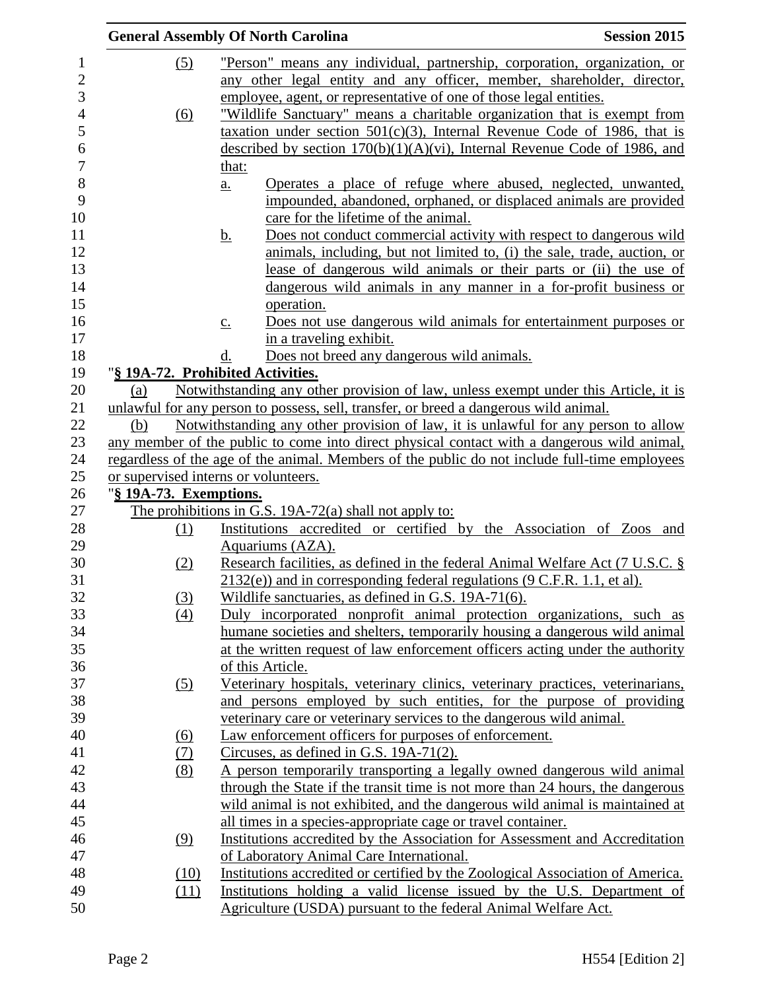|                        |                   | <b>General Assembly Of North Carolina</b>                                                     | <b>Session 2015</b> |
|------------------------|-------------------|-----------------------------------------------------------------------------------------------|---------------------|
|                        | (5)               | "Person" means any individual, partnership, corporation, organization, or                     |                     |
|                        |                   | any other legal entity and any officer, member, shareholder, director,                        |                     |
|                        |                   | employee, agent, or representative of one of those legal entities.                            |                     |
|                        | (6)               | "Wildlife Sanctuary" means a charitable organization that is exempt from                      |                     |
|                        |                   | taxation under section $501(c)(3)$ , Internal Revenue Code of 1986, that is                   |                     |
|                        |                   | described by section $170(b)(1)(A)(vi)$ , Internal Revenue Code of 1986, and                  |                     |
|                        |                   | that:                                                                                         |                     |
|                        |                   | Operates a place of refuge where abused, neglected, unwanted,<br>a.                           |                     |
|                        |                   | impounded, abandoned, orphaned, or displaced animals are provided                             |                     |
|                        |                   | care for the lifetime of the animal.                                                          |                     |
|                        |                   | Does not conduct commercial activity with respect to dangerous wild<br><u>b.</u>              |                     |
|                        |                   | animals, including, but not limited to, (i) the sale, trade, auction, or                      |                     |
|                        |                   | lease of dangerous wild animals or their parts or (ii) the use of                             |                     |
|                        |                   | dangerous wild animals in any manner in a for-profit business or                              |                     |
|                        |                   | operation.                                                                                    |                     |
|                        |                   | Does not use dangerous wild animals for entertainment purposes or<br>$\underline{c}$ .        |                     |
|                        |                   | in a traveling exhibit.                                                                       |                     |
|                        |                   | Does not breed any dangerous wild animals.<br>d.                                              |                     |
|                        |                   | "§ 19A-72. Prohibited Activities.                                                             |                     |
| (a)                    |                   | Notwithstanding any other provision of law, unless exempt under this Article, it is           |                     |
|                        |                   | unlawful for any person to possess, sell, transfer, or breed a dangerous wild animal.         |                     |
| (b)                    |                   | Notwithstanding any other provision of law, it is unlawful for any person to allow            |                     |
|                        |                   | any member of the public to come into direct physical contact with a dangerous wild animal,   |                     |
|                        |                   | regardless of the age of the animal. Members of the public do not include full-time employees |                     |
|                        |                   | or supervised interns or volunteers.                                                          |                     |
| "§ 19A-73. Exemptions. |                   |                                                                                               |                     |
|                        |                   | The prohibitions in G.S. 19A-72(a) shall not apply to:                                        |                     |
|                        | (1)               | Institutions accredited or certified by the Association of Zoos and                           |                     |
|                        |                   | Aquariums (AZA).                                                                              |                     |
|                        | (2)               | Research facilities, as defined in the federal Animal Welfare Act (7 U.S.C. §                 |                     |
|                        |                   | $2132(e)$ ) and in corresponding federal regulations (9 C.F.R. 1.1, et al).                   |                     |
|                        | (3)               | Wildlife sanctuaries, as defined in G.S. 19A-71(6).                                           |                     |
|                        | $\underline{(4)}$ | Duly incorporated nonprofit animal protection organizations, such as                          |                     |
|                        |                   | humane societies and shelters, temporarily housing a dangerous wild animal                    |                     |
|                        |                   | at the written request of law enforcement officers acting under the authority                 |                     |
|                        |                   | of this Article.                                                                              |                     |
|                        | (5)               | Veterinary hospitals, veterinary clinics, veterinary practices, veterinarians,                |                     |
|                        |                   | and persons employed by such entities, for the purpose of providing                           |                     |
|                        |                   | veterinary care or veterinary services to the dangerous wild animal.                          |                     |
|                        | <u>(6)</u>        | Law enforcement officers for purposes of enforcement.                                         |                     |
|                        | (7)               | Circuses, as defined in G.S. $19A-71(2)$ .                                                    |                     |
|                        | (8)               | A person temporarily transporting a legally owned dangerous wild animal                       |                     |
|                        |                   | through the State if the transit time is not more than 24 hours, the dangerous                |                     |
|                        |                   | wild animal is not exhibited, and the dangerous wild animal is maintained at                  |                     |
|                        |                   | all times in a species-appropriate cage or travel container.                                  |                     |
|                        | (9)               | Institutions accredited by the Association for Assessment and Accreditation                   |                     |
|                        |                   | of Laboratory Animal Care International.                                                      |                     |
|                        | (10)              | Institutions accredited or certified by the Zoological Association of America.                |                     |
|                        | (11)              | Institutions holding a valid license issued by the U.S. Department of                         |                     |
|                        |                   | Agriculture (USDA) pursuant to the federal Animal Welfare Act.                                |                     |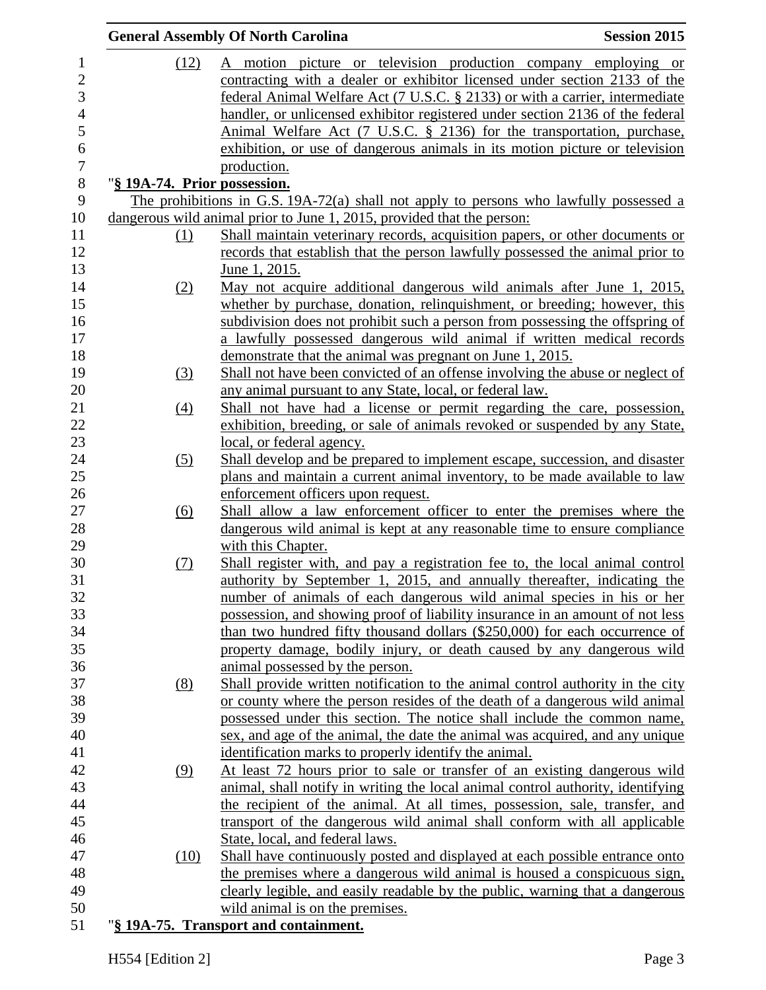| (12)                         | A motion picture or television production company employing or                                                                                          |
|------------------------------|---------------------------------------------------------------------------------------------------------------------------------------------------------|
|                              |                                                                                                                                                         |
|                              | contracting with a dealer or exhibitor licensed under section 2133 of the                                                                               |
|                              | federal Animal Welfare Act (7 U.S.C. § 2133) or with a carrier, intermediate                                                                            |
|                              | handler, or unlicensed exhibitor registered under section 2136 of the federal                                                                           |
|                              | Animal Welfare Act (7 U.S.C. $\S$ 2136) for the transportation, purchase,                                                                               |
|                              |                                                                                                                                                         |
|                              | exhibition, or use of dangerous animals in its motion picture or television                                                                             |
|                              | production.                                                                                                                                             |
| "§ 19A-74. Prior possession. |                                                                                                                                                         |
|                              | The prohibitions in G.S. $19A-72(a)$ shall not apply to persons who lawfully possessed a                                                                |
|                              | dangerous wild animal prior to June 1, 2015, provided that the person:                                                                                  |
| (1)                          | Shall maintain veterinary records, acquisition papers, or other documents or                                                                            |
|                              | records that establish that the person lawfully possessed the animal prior to                                                                           |
|                              | June 1, 2015.                                                                                                                                           |
| (2)                          | May not acquire additional dangerous wild animals after June 1, 2015,                                                                                   |
|                              | whether by purchase, donation, relinquishment, or breeding; however, this                                                                               |
|                              | subdivision does not prohibit such a person from possessing the offspring of                                                                            |
|                              | a lawfully possessed dangerous wild animal if written medical records                                                                                   |
|                              | demonstrate that the animal was pregnant on June 1, 2015.                                                                                               |
| (3)                          | Shall not have been convicted of an offense involving the abuse or neglect of                                                                           |
|                              | any animal pursuant to any State, local, or federal law.                                                                                                |
| $\left(4\right)$             | Shall not have had a license or permit regarding the care, possession,                                                                                  |
|                              | exhibition, breeding, or sale of animals revoked or suspended by any State,                                                                             |
|                              | local, or federal agency.                                                                                                                               |
| (5)                          | Shall develop and be prepared to implement escape, succession, and disaster                                                                             |
|                              | plans and maintain a current animal inventory, to be made available to law                                                                              |
|                              | enforcement officers upon request.                                                                                                                      |
| (6)                          | Shall allow a law enforcement officer to enter the premises where the                                                                                   |
|                              | dangerous wild animal is kept at any reasonable time to ensure compliance                                                                               |
|                              | with this Chapter.                                                                                                                                      |
| (7)                          | Shall register with, and pay a registration fee to, the local animal control                                                                            |
|                              | authority by September 1, 2015, and annually thereafter, indicating the                                                                                 |
|                              | number of animals of each dangerous wild animal species in his or her                                                                                   |
|                              | possession, and showing proof of liability insurance in an amount of not less                                                                           |
|                              | than two hundred fifty thousand dollars (\$250,000) for each occurrence of                                                                              |
|                              | property damage, bodily injury, or death caused by any dangerous wild                                                                                   |
|                              | animal possessed by the person.                                                                                                                         |
| (8)                          | Shall provide written notification to the animal control authority in the city                                                                          |
|                              | or county where the person resides of the death of a dangerous wild animal                                                                              |
|                              | possessed under this section. The notice shall include the common name,                                                                                 |
|                              | sex, and age of the animal, the date the animal was acquired, and any unique                                                                            |
|                              | identification marks to properly identify the animal.                                                                                                   |
| (9)                          | At least 72 hours prior to sale or transfer of an existing dangerous wild                                                                               |
|                              | animal, shall notify in writing the local animal control authority, identifying                                                                         |
|                              | the recipient of the animal. At all times, possession, sale, transfer, and                                                                              |
|                              | transport of the dangerous wild animal shall conform with all applicable                                                                                |
|                              | State, local, and federal laws.                                                                                                                         |
|                              |                                                                                                                                                         |
| (10)                         | Shall have continuously posted and displayed at each possible entrance onto<br>the premises where a dangerous wild animal is housed a conspicuous sign, |
|                              | clearly legible, and easily readable by the public, warning that a dangerous                                                                            |
|                              |                                                                                                                                                         |
|                              | wild animal is on the premises.                                                                                                                         |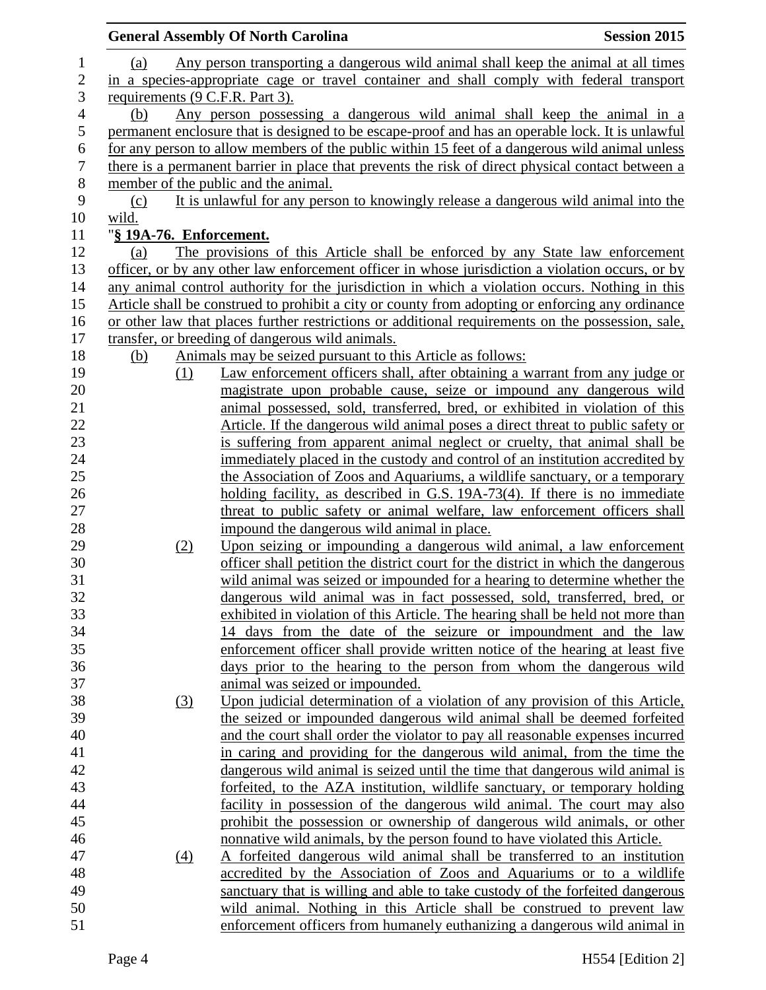|                  |                                                                                 | <b>General Assembly Of North Carolina</b>                                                         | <b>Session 2015</b> |  |  |
|------------------|---------------------------------------------------------------------------------|---------------------------------------------------------------------------------------------------|---------------------|--|--|
| 1                | <u>(a)</u>                                                                      | <u>Any person transporting a dangerous wild animal shall keep the animal at all times</u>         |                     |  |  |
| $\mathbf{2}$     |                                                                                 | in a species-appropriate cage or travel container and shall comply with federal transport         |                     |  |  |
| 3                | requirements (9 C.F.R. Part 3).                                                 |                                                                                                   |                     |  |  |
| $\overline{4}$   | Any person possessing a dangerous wild animal shall keep the animal in a<br>(b) |                                                                                                   |                     |  |  |
| 5                |                                                                                 | permanent enclosure that is designed to be escape-proof and has an operable lock. It is unlawful  |                     |  |  |
| $\boldsymbol{6}$ |                                                                                 | for any person to allow members of the public within 15 feet of a dangerous wild animal unless    |                     |  |  |
| $\boldsymbol{7}$ |                                                                                 | there is a permanent barrier in place that prevents the risk of direct physical contact between a |                     |  |  |
| $8\,$            |                                                                                 | member of the public and the animal.                                                              |                     |  |  |
| 9                | (c)                                                                             | It is unlawful for any person to knowingly release a dangerous wild animal into the               |                     |  |  |
| 10               | wild.                                                                           |                                                                                                   |                     |  |  |
| 11               | " <u>§ 19A-76. Enforcement.</u>                                                 |                                                                                                   |                     |  |  |
| 12               | (a)                                                                             | The provisions of this Article shall be enforced by any State law enforcement                     |                     |  |  |
| 13               |                                                                                 | officer, or by any other law enforcement officer in whose jurisdiction a violation occurs, or by  |                     |  |  |
| 14               |                                                                                 | any animal control authority for the jurisdiction in which a violation occurs. Nothing in this    |                     |  |  |
| 15               |                                                                                 | Article shall be construed to prohibit a city or county from adopting or enforcing any ordinance  |                     |  |  |
| 16               |                                                                                 | or other law that places further restrictions or additional requirements on the possession, sale, |                     |  |  |
| 17               |                                                                                 | transfer, or breeding of dangerous wild animals.                                                  |                     |  |  |
| 18               | (b)                                                                             | Animals may be seized pursuant to this Article as follows:                                        |                     |  |  |
| 19               | (1)                                                                             | Law enforcement officers shall, after obtaining a warrant from any judge or                       |                     |  |  |
| 20               |                                                                                 | magistrate upon probable cause, seize or impound any dangerous wild                               |                     |  |  |
| 21               |                                                                                 | animal possessed, sold, transferred, bred, or exhibited in violation of this                      |                     |  |  |
| 22               |                                                                                 | Article. If the dangerous wild animal poses a direct threat to public safety or                   |                     |  |  |
| 23               |                                                                                 | is suffering from apparent animal neglect or cruelty, that animal shall be                        |                     |  |  |
| 24               |                                                                                 | immediately placed in the custody and control of an institution accredited by                     |                     |  |  |
| 25               |                                                                                 | the Association of Zoos and Aquariums, a wildlife sanctuary, or a temporary                       |                     |  |  |
| 26               |                                                                                 | holding facility, as described in G.S. 19A-73(4). If there is no immediate                        |                     |  |  |
| 27               |                                                                                 | threat to public safety or animal welfare, law enforcement officers shall                         |                     |  |  |
| 28               |                                                                                 | impound the dangerous wild animal in place.                                                       |                     |  |  |
| 29               | (2)                                                                             | Upon seizing or impounding a dangerous wild animal, a law enforcement                             |                     |  |  |
| 30               |                                                                                 | officer shall petition the district court for the district in which the dangerous                 |                     |  |  |
| 31               |                                                                                 | wild animal was seized or impounded for a hearing to determine whether the                        |                     |  |  |
| 32               |                                                                                 | dangerous wild animal was in fact possessed, sold, transferred, bred, or                          |                     |  |  |
| 33               |                                                                                 | exhibited in violation of this Article. The hearing shall be held not more than                   |                     |  |  |
| 34               |                                                                                 | 14 days from the date of the seizure or impoundment and the law                                   |                     |  |  |
| 35               |                                                                                 | enforcement officer shall provide written notice of the hearing at least five                     |                     |  |  |
| 36               |                                                                                 | days prior to the hearing to the person from whom the dangerous wild                              |                     |  |  |
| 37               |                                                                                 | animal was seized or impounded.                                                                   |                     |  |  |
| 38               | (3)                                                                             | Upon judicial determination of a violation of any provision of this Article,                      |                     |  |  |
| 39               |                                                                                 | the seized or impounded dangerous wild animal shall be deemed forfeited                           |                     |  |  |
| 40               |                                                                                 | and the court shall order the violator to pay all reasonable expenses incurred                    |                     |  |  |
| 41               |                                                                                 | in caring and providing for the dangerous wild animal, from the time the                          |                     |  |  |
| 42               |                                                                                 | dangerous wild animal is seized until the time that dangerous wild animal is                      |                     |  |  |
| 43               |                                                                                 | <u>forfeited, to the AZA institution, wildlife sanctuary, or temporary holding</u>                |                     |  |  |
| 44               |                                                                                 | facility in possession of the dangerous wild animal. The court may also                           |                     |  |  |
| 45               |                                                                                 | prohibit the possession or ownership of dangerous wild animals, or other                          |                     |  |  |
| 46               |                                                                                 | nonnative wild animals, by the person found to have violated this Article.                        |                     |  |  |
| 47               | (4)                                                                             | A forfeited dangerous wild animal shall be transferred to an institution                          |                     |  |  |
| 48               |                                                                                 | accredited by the Association of Zoos and Aquariums or to a wildlife                              |                     |  |  |
| 49               |                                                                                 | sanctuary that is willing and able to take custody of the forfeited dangerous                     |                     |  |  |
| 50               |                                                                                 | wild animal. Nothing in this Article shall be construed to prevent law                            |                     |  |  |
| 51               |                                                                                 | enforcement officers from humanely euthanizing a dangerous wild animal in                         |                     |  |  |